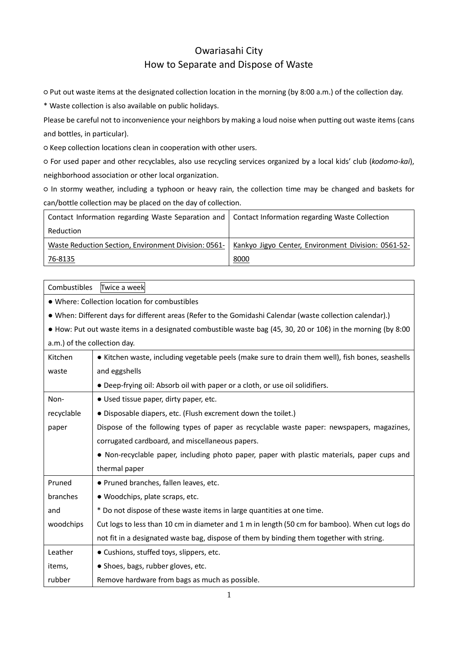## Owariasahi City How to Separate and Dispose of Waste

○ Put out waste items at the designated collection location in the morning (by 8:00 a.m.) of the collection day.

\* Waste collection is also available on public holidays.

Please be careful not to inconvenience your neighbors by making a loud noise when putting out waste items (cans and bottles, in particular).

○ Keep collection locations clean in cooperation with other users.

○ For used paper and other recyclables, also use recycling services organized by a local kids' club (*kodomo-kai*), neighborhood association or other local organization.

○ In stormy weather, including a typhoon or heavy rain, the collection time may be changed and baskets for can/bottle collection may be placed on the day of collection.

| Contact Information regarding Waste Separation and   Contact Information regarding Waste Collection |                                                     |
|-----------------------------------------------------------------------------------------------------|-----------------------------------------------------|
| Reduction                                                                                           |                                                     |
| Waste Reduction Section, Environment Division: 0561-                                                | Kankyo Jigyo Center, Environment Division: 0561-52- |
| <u>76-8135</u>                                                                                      | 8000                                                |

| Combustibles<br>Twice a week                                                                              |                                                                                                              |  |  |
|-----------------------------------------------------------------------------------------------------------|--------------------------------------------------------------------------------------------------------------|--|--|
| . Where: Collection location for combustibles                                                             |                                                                                                              |  |  |
| . When: Different days for different areas (Refer to the Gomidashi Calendar (waste collection calendar).) |                                                                                                              |  |  |
|                                                                                                           | • How: Put out waste items in a designated combustible waste bag (45, 30, 20 or 100) in the morning (by 8:00 |  |  |
| a.m.) of the collection day.                                                                              |                                                                                                              |  |  |
| Kitchen                                                                                                   | • Kitchen waste, including vegetable peels (make sure to drain them well), fish bones, seashells             |  |  |
| waste                                                                                                     | and eggshells                                                                                                |  |  |
|                                                                                                           | • Deep-frying oil: Absorb oil with paper or a cloth, or use oil solidifiers.                                 |  |  |
| Non-                                                                                                      | • Used tissue paper, dirty paper, etc.                                                                       |  |  |
| recyclable                                                                                                | • Disposable diapers, etc. (Flush excrement down the toilet.)                                                |  |  |
| paper                                                                                                     | Dispose of the following types of paper as recyclable waste paper: newspapers, magazines,                    |  |  |
| corrugated cardboard, and miscellaneous papers.                                                           |                                                                                                              |  |  |
| . Non-recyclable paper, including photo paper, paper with plastic materials, paper cups and               |                                                                                                              |  |  |
|                                                                                                           | thermal paper                                                                                                |  |  |
| Pruned                                                                                                    | · Pruned branches, fallen leaves, etc.                                                                       |  |  |
| branches                                                                                                  | · Woodchips, plate scraps, etc.                                                                              |  |  |
| and                                                                                                       | * Do not dispose of these waste items in large quantities at one time.                                       |  |  |
| woodchips                                                                                                 | Cut logs to less than 10 cm in diameter and 1 m in length (50 cm for bamboo). When cut logs do               |  |  |
|                                                                                                           | not fit in a designated waste bag, dispose of them by binding them together with string.                     |  |  |
| Leather                                                                                                   | • Cushions, stuffed toys, slippers, etc.                                                                     |  |  |
| items,                                                                                                    | • Shoes, bags, rubber gloves, etc.                                                                           |  |  |
| rubber                                                                                                    | Remove hardware from bags as much as possible.                                                               |  |  |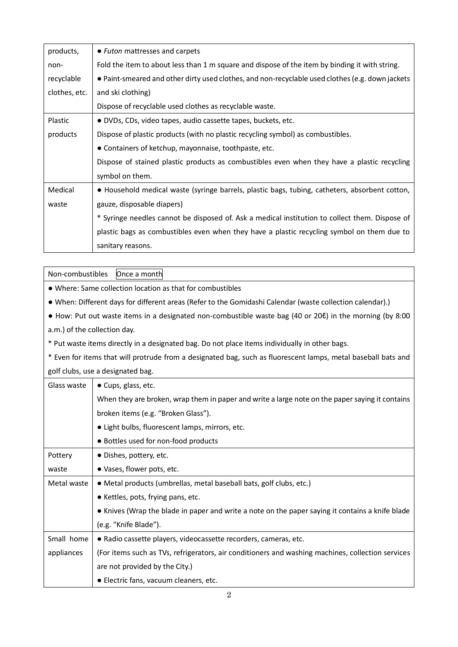| products,     | • Futon mattresses and carpets                                                                   |  |  |
|---------------|--------------------------------------------------------------------------------------------------|--|--|
| non-          | Fold the item to about less than 1 m square and dispose of the item by binding it with string.   |  |  |
| recyclable    | • Paint-smeared and other dirty used clothes, and non-recyclable used clothes (e.g. down jackets |  |  |
| clothes, etc. | and ski clothing)                                                                                |  |  |
|               | Dispose of recyclable used clothes as recyclable waste.                                          |  |  |
| Plastic       | • DVDs, CDs, video tapes, audio cassette tapes, buckets, etc.                                    |  |  |
| products      | Dispose of plastic products (with no plastic recycling symbol) as combustibles.                  |  |  |
|               | • Containers of ketchup, mayonnaise, toothpaste, etc.                                            |  |  |
|               | Dispose of stained plastic products as combustibles even when they have a plastic recycling      |  |  |
|               | symbol on them.                                                                                  |  |  |
| Medical       | . Household medical waste (syringe barrels, plastic bags, tubing, catheters, absorbent cotton,   |  |  |
| waste         | gauze, disposable diapers)                                                                       |  |  |
|               | * Syringe needles cannot be disposed of. Ask a medical institution to collect them. Dispose of   |  |  |
|               | plastic bags as combustibles even when they have a plastic recycling symbol on them due to       |  |  |
|               | sanitary reasons.                                                                                |  |  |

Non-combustibles Once a month

● Where: Same collection location as that for combustibles

● When: Different days for different areas (Refer to the Gomidashi Calendar (waste collection calendar).)

● How: Put out waste items in a designated non-combustible waste bag (40 or 20ℓ) in the morning (by 8:00 a.m.) of the collection day.

\* Put waste items directly in a designated bag. Do not place items individually in other bags.

\* Even for items that will protrude from a designated bag, such as fluorescent lamps, metal baseball bats and golf clubs, use a designated bag.

| Glass waste | • Cups, glass, etc.                                                                               |  |  |  |  |
|-------------|---------------------------------------------------------------------------------------------------|--|--|--|--|
|             | When they are broken, wrap them in paper and write a large note on the paper saying it contains   |  |  |  |  |
|             | broken items (e.g. "Broken Glass").                                                               |  |  |  |  |
|             | • Light bulbs, fluorescent lamps, mirrors, etc.                                                   |  |  |  |  |
|             | • Bottles used for non-food products                                                              |  |  |  |  |
| Pottery     | • Dishes, pottery, etc.                                                                           |  |  |  |  |
| waste       | • Vases, flower pots, etc.                                                                        |  |  |  |  |
| Metal waste | • Metal products (umbrellas, metal baseball bats, golf clubs, etc.)                               |  |  |  |  |
|             | • Kettles, pots, frying pans, etc.                                                                |  |  |  |  |
|             | • Knives (Wrap the blade in paper and write a note on the paper saying it contains a knife blade  |  |  |  |  |
|             | (e.g. "Knife Blade").                                                                             |  |  |  |  |
| Small home  | • Radio cassette players, videocassette recorders, cameras, etc.                                  |  |  |  |  |
| appliances  | (For items such as TVs, refrigerators, air conditioners and washing machines, collection services |  |  |  |  |
|             | are not provided by the City.)                                                                    |  |  |  |  |
|             | • Electric fans, vacuum cleaners, etc.                                                            |  |  |  |  |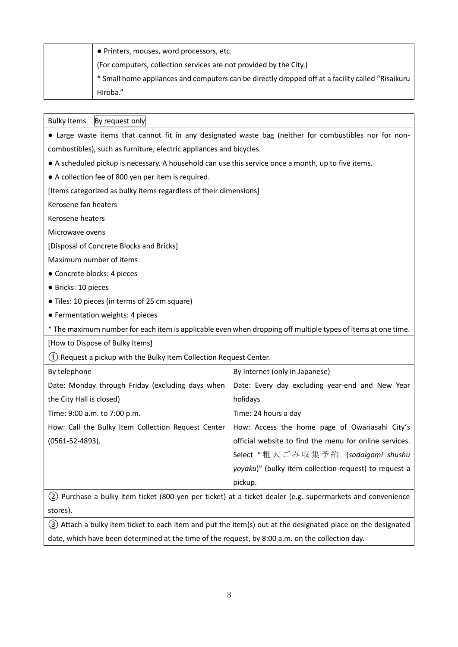| • Printers, mouses, word processors, etc.                                                          |
|----------------------------------------------------------------------------------------------------|
| (For computers, collection services are not provided by the City.)                                 |
| * Small home appliances and computers can be directly dropped off at a facility called "Risaikuru" |
| Hiroba."                                                                                           |

| <b>Bulky Items</b><br>By request only                                                                        |                                                        |  |  |
|--------------------------------------------------------------------------------------------------------------|--------------------------------------------------------|--|--|
| • Large waste items that cannot fit in any designated waste bag (neither for combustibles nor for non-       |                                                        |  |  |
| combustibles), such as furniture, electric appliances and bicycles.                                          |                                                        |  |  |
| • A scheduled pickup is necessary. A household can use this service once a month, up to five items.          |                                                        |  |  |
| • A collection fee of 800 yen per item is required.                                                          |                                                        |  |  |
| [Items categorized as bulky items regardless of their dimensions]                                            |                                                        |  |  |
| Kerosene fan heaters                                                                                         |                                                        |  |  |
| Kerosene heaters                                                                                             |                                                        |  |  |
| Microwave ovens                                                                                              |                                                        |  |  |
| [Disposal of Concrete Blocks and Bricks]                                                                     |                                                        |  |  |
| Maximum number of items                                                                                      |                                                        |  |  |
| · Concrete blocks: 4 pieces                                                                                  |                                                        |  |  |
| · Bricks: 10 pieces                                                                                          |                                                        |  |  |
| • Tiles: 10 pieces (in terms of 25 cm square)                                                                |                                                        |  |  |
| • Fermentation weights: 4 pieces                                                                             |                                                        |  |  |
| * The maximum number for each item is applicable even when dropping off multiple types of items at one time. |                                                        |  |  |
| [How to Dispose of Bulky Items]                                                                              |                                                        |  |  |
| (1) Request a pickup with the Bulky Item Collection Request Center.                                          |                                                        |  |  |
| By telephone                                                                                                 | By Internet (only in Japanese)                         |  |  |
| Date: Monday through Friday (excluding days when                                                             | Date: Every day excluding year-end and New Year        |  |  |
| the City Hall is closed)                                                                                     | holidays                                               |  |  |
| Time: 9:00 a.m. to 7:00 p.m.                                                                                 | Time: 24 hours a day                                   |  |  |
| How: Call the Bulky Item Collection Request Center                                                           | How: Access the home page of Owariasahi City's         |  |  |
| $(0561 - 52 - 4893)$ .                                                                                       | official website to find the menu for online services. |  |  |
|                                                                                                              | Select "粗大ごみ収集予約 (sodaigomi shushu                     |  |  |
|                                                                                                              | yoyaku)" (bulky item collection request) to request a  |  |  |
|                                                                                                              | pickup.                                                |  |  |
| (2) Purchase a bulky item ticket (800 yen per ticket) at a ticket dealer (e.g. supermarkets and convenience  |                                                        |  |  |
| stores).                                                                                                     |                                                        |  |  |

③ Attach a bulky item ticket to each item and put the item(s) out at the designated place on the designated date, which have been determined at the time of the request, by 8:00 a.m. on the collection day.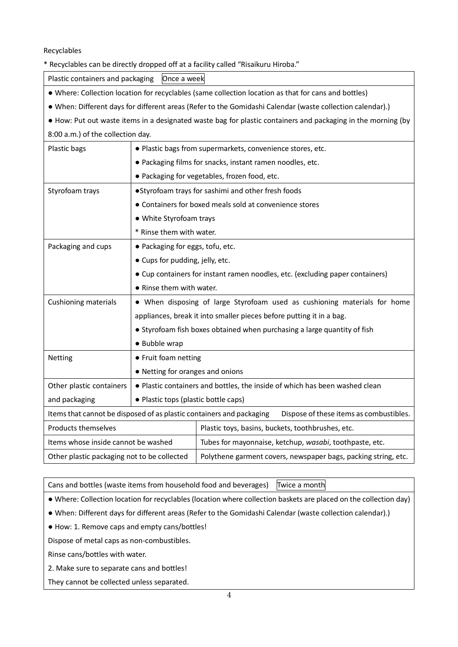Recyclables

\* Recyclables can be directly dropped off at a facility called "Risaikuru Hiroba."

Plastic containers and packaging | Once a week

● Where: Collection location for recyclables (same collection location as that for cans and bottles)

● When: Different days for different areas (Refer to the Gomidashi Calendar (waste collection calendar).)

● How: Put out waste items in a designated waste bag for plastic containers and packaging in the morning (by 8:00 a.m.) of the collection day.

| Plastic bags                                                                                                    | · Plastic bags from supermarkets, convenience stores, etc.                    |                                                                |  |
|-----------------------------------------------------------------------------------------------------------------|-------------------------------------------------------------------------------|----------------------------------------------------------------|--|
|                                                                                                                 | . Packaging films for snacks, instant ramen noodles, etc.                     |                                                                |  |
|                                                                                                                 | . Packaging for vegetables, frozen food, etc.                                 |                                                                |  |
| Styrofoam trays                                                                                                 | •Styrofoam trays for sashimi and other fresh foods                            |                                                                |  |
|                                                                                                                 |                                                                               | • Containers for boxed meals sold at convenience stores        |  |
|                                                                                                                 | • White Styrofoam trays                                                       |                                                                |  |
|                                                                                                                 | * Rinse them with water.                                                      |                                                                |  |
| Packaging and cups                                                                                              | • Packaging for eggs, tofu, etc.                                              |                                                                |  |
|                                                                                                                 | • Cups for pudding, jelly, etc.                                               |                                                                |  |
|                                                                                                                 | • Cup containers for instant ramen noodles, etc. (excluding paper containers) |                                                                |  |
|                                                                                                                 | • Rinse them with water.                                                      |                                                                |  |
| <b>Cushioning materials</b>                                                                                     | • When disposing of large Styrofoam used as cushioning materials for home     |                                                                |  |
|                                                                                                                 | appliances, break it into smaller pieces before putting it in a bag.          |                                                                |  |
|                                                                                                                 | • Styrofoam fish boxes obtained when purchasing a large quantity of fish      |                                                                |  |
|                                                                                                                 | · Bubble wrap                                                                 |                                                                |  |
| Netting                                                                                                         | • Fruit foam netting                                                          |                                                                |  |
|                                                                                                                 | • Netting for oranges and onions                                              |                                                                |  |
| Other plastic containers                                                                                        | . Plastic containers and bottles, the inside of which has been washed clean   |                                                                |  |
| and packaging                                                                                                   | • Plastic tops (plastic bottle caps)                                          |                                                                |  |
| Items that cannot be disposed of as plastic containers and packaging<br>Dispose of these items as combustibles. |                                                                               |                                                                |  |
| Products themselves                                                                                             | Plastic toys, basins, buckets, toothbrushes, etc.                             |                                                                |  |
| Items whose inside cannot be washed                                                                             |                                                                               | Tubes for mayonnaise, ketchup, wasabi, toothpaste, etc.        |  |
| Other plastic packaging not to be collected                                                                     |                                                                               | Polythene garment covers, newspaper bags, packing string, etc. |  |

Cans and bottles (waste items from household food and beverages) Twice a month

● Where: Collection location for recyclables (location where collection baskets are placed on the collection day)

- When: Different days for different areas (Refer to the Gomidashi Calendar (waste collection calendar).)
- How: 1. Remove caps and empty cans/bottles!

Dispose of metal caps as non-combustibles.

Rinse cans/bottles with water.

2. Make sure to separate cans and bottles!

They cannot be collected unless separated.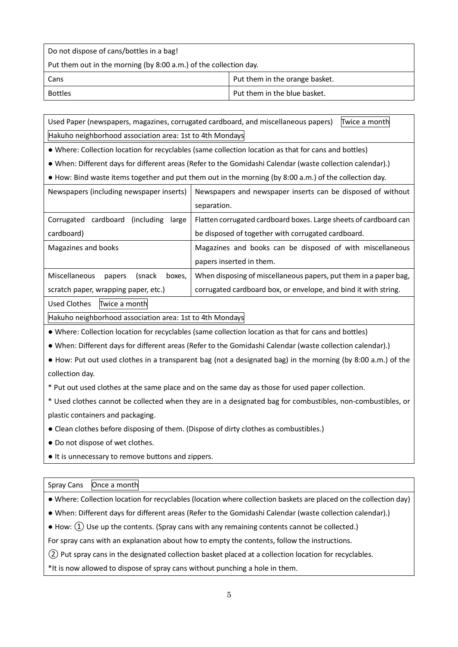Do not dispose of cans/bottles in a bag!

Put them out in the morning (by 8:00 a.m.) of the collection day.

| Cans    | Put them in the orange basket. |
|---------|--------------------------------|
| Bottles | Put them in the blue basket.   |

Used Paper (newspapers, magazines, corrugated cardboard, and miscellaneous papers) Twice a month Hakuho neighborhood association area: 1st to 4th Mondays

● Where: Collection location for recyclables (same collection location as that for cans and bottles)

● When: Different days for different areas (Refer to the Gomidashi Calendar (waste collection calendar).)

● How: Bind waste items together and put them out in the morning (by 8:00 a.m.) of the collection day.

| Newspapers (including newspaper inserts)        | Newspapers and newspaper inserts can be disposed of without       |  |
|-------------------------------------------------|-------------------------------------------------------------------|--|
|                                                 | separation.                                                       |  |
| cardboard<br>Corrugated<br>(including)<br>large | Flatten corrugated cardboard boxes. Large sheets of cardboard can |  |
| cardboard)                                      | be disposed of together with corrugated cardboard.                |  |
| Magazines and books                             | Magazines and books can be disposed of with miscellaneous         |  |
|                                                 | papers inserted in them.                                          |  |
| Miscellaneous<br>(snack<br>boxes,<br>papers     | When disposing of miscellaneous papers, put them in a paper bag,  |  |
| scratch paper, wrapping paper, etc.)            | corrugated cardboard box, or envelope, and bind it with string.   |  |

Used Clothes Twice a month

Hakuho neighborhood association area: 1st to 4th Mondays

● Where: Collection location for recyclables (same collection location as that for cans and bottles)

● When: Different days for different areas (Refer to the Gomidashi Calendar (waste collection calendar).)

● How: Put out used clothes in a transparent bag (not a designated bag) in the morning (by 8:00 a.m.) of the collection day.

\* Put out used clothes at the same place and on the same day as those for used paper collection.

\* Used clothes cannot be collected when they are in a designated bag for combustibles, non-combustibles, or plastic containers and packaging.

● Clean clothes before disposing of them. (Dispose of dirty clothes as combustibles.)

● Do not dispose of wet clothes.

● It is unnecessary to remove buttons and zippers.

| Spray Cans Once a month |  |
|-------------------------|--|
|                         |  |

● When: Different days for different areas (Refer to the Gomidashi Calendar (waste collection calendar).)

 $\bullet$  How:  $\Omega$ ) Use up the contents. (Spray cans with any remaining contents cannot be collected.)

For spray cans with an explanation about how to empty the contents, follow the instructions.

② Put spray cans in the designated collection basket placed at a collection location for recyclables.

\*It is now allowed to dispose of spray cans without punching a hole in them.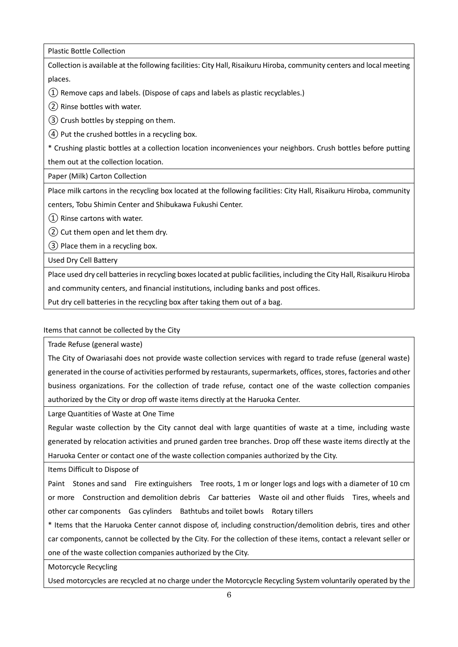Plastic Bottle Collection

Collection is available at the following facilities: City Hall, Risaikuru Hiroba, community centers and local meeting places.

①Remove caps and labels. (Dispose of caps and labels as plastic recyclables.)

②Rinse bottles with water.

③ Crush bottles by stepping on them.

④ Put the crushed bottles in a recycling box.

\* Crushing plastic bottles at a collection location inconveniences your neighbors. Crush bottles before putting them out at the collection location.

Paper (Milk) Carton Collection

Place milk cartons in the recycling box located at the following facilities: City Hall, Risaikuru Hiroba, community centers, Tobu Shimin Center and Shibukawa Fukushi Center.

①Rinse cartons with water.

②Cut them open and let them dry.

③Place them in a recycling box.

Used Dry Cell Battery

Place used dry cell batteries in recycling boxeslocated at public facilities, including the City Hall, Risaikuru Hiroba

and community centers, and financial institutions, including banks and post offices.

Put dry cell batteries in the recycling box after taking them out of a bag.

Items that cannot be collected by the City

Trade Refuse (general waste)

The City of Owariasahi does not provide waste collection services with regard to trade refuse (general waste) generated in the course of activities performed by restaurants, supermarkets, offices, stores, factories and other business organizations. For the collection of trade refuse, contact one of the waste collection companies authorized by the City or drop off waste items directly at the Haruoka Center.

Large Quantities of Waste at One Time

Regular waste collection by the City cannot deal with large quantities of waste at a time, including waste generated by relocation activities and pruned garden tree branches. Drop off these waste items directly at the Haruoka Center or contact one of the waste collection companies authorized by the City.

Items Difficult to Dispose of

Paint Stones and sand Fire extinguishers Tree roots, 1 m or longer logs and logs with a diameter of 10 cm or more Construction and demolition debris Car batteries Waste oil and other fluids Tires, wheels and other car components Gas cylinders Bathtubs and toilet bowls Rotary tillers

\* Items that the Haruoka Center cannot dispose of, including construction/demolition debris, tires and other car components, cannot be collected by the City. For the collection of these items, contact a relevant seller or one of the waste collection companies authorized by the City.

Motorcycle Recycling

Used motorcycles are recycled at no charge under the Motorcycle Recycling System voluntarily operated by the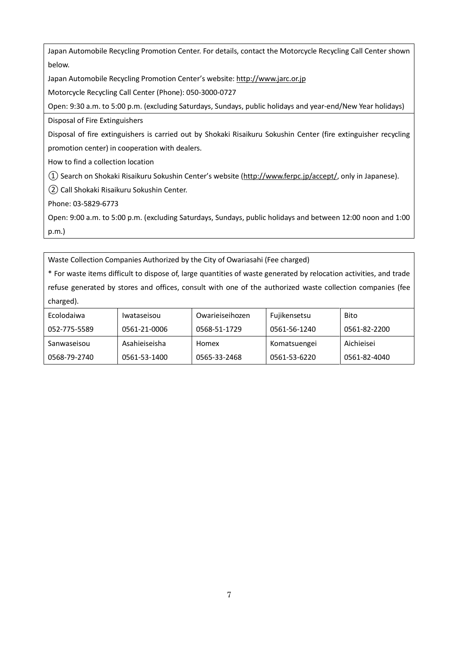Japan Automobile Recycling Promotion Center. For details, contact the Motorcycle Recycling Call Center shown below.

Japan Automobile Recycling Promotion Center's website[: http://www.jarc.or.jp](http://www.jarc.or.jp/)

Motorcycle Recycling Call Center (Phone): 050-3000-0727

Open: 9:30 a.m. to 5:00 p.m. (excluding Saturdays, Sundays, public holidays and year-end/New Year holidays)

Disposal of Fire Extinguishers

Disposal of fire extinguishers is carried out by Shokaki Risaikuru Sokushin Center (fire extinguisher recycling promotion center) in cooperation with dealers.

How to find a collection location

①Search on Shokaki Risaikuru Sokushin Center's website [\(http://www.ferpc.jp/accept/,](http://www.ferpc.jp/accept/) only in Japanese).

②Call Shokaki Risaikuru Sokushin Center.

Phone: 03-5829-6773

Open: 9:00 a.m. to 5:00 p.m. (excluding Saturdays, Sundays, public holidays and between 12:00 noon and 1:00 p.m.)

Waste Collection Companies Authorized by the City of Owariasahi (Fee charged)

\* For waste items difficult to dispose of, large quantities of waste generated by relocation activities, and trade refuse generated by stores and offices, consult with one of the authorized waste collection companies (fee charged).

| Ecolodaiwa   | <i>Iwataseisou</i> | Owarieiseihozen | Fujikensetsu | <b>Bito</b>  |
|--------------|--------------------|-----------------|--------------|--------------|
| 052-775-5589 | 0561-21-0006       | 0568-51-1729    | 0561-56-1240 | 0561-82-2200 |
| Sanwaseisou  | Asahieiseisha      | Homex           | Komatsuengei | Aichieisei   |
| 0568-79-2740 | 0561-53-1400       | 0565-33-2468    | 0561-53-6220 | 0561-82-4040 |